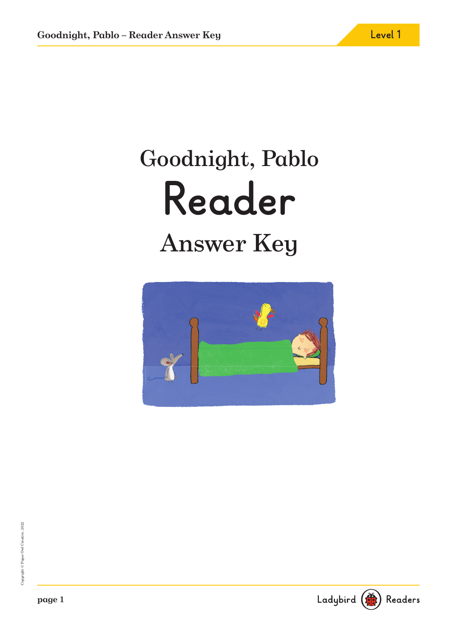# Goodnight, Pablo **Reader** Answer Key



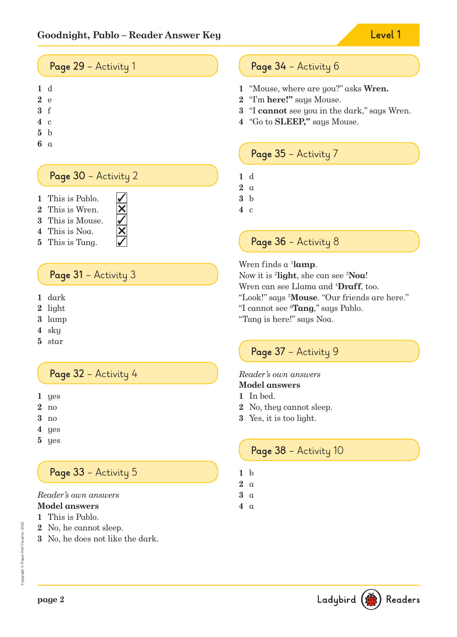# **Page 29** – Activity 1

- d
- e
- f
- c
- b
- 
- a

#### **Page 30** – Activity 2

- This is Pablo.
- This is Wren.
- This is Mouse.
- This is Noa.
- This is Tang.

## Page 31 - Activity 3

- dark
- light
- lamp
- sky
- star

#### **Page 32** – Activity 4

- yes
- no
- no
- yes
- yes

# **Page 33** – Activity 5

## Reader's own answers

- **Model answers**
- This is Pablo.
- No, he cannot sleep.
- No, he does not like the dark.

#### **Page 34** – Activity 6

- "Mouse, where are you?" asks **Wren.**
- "I'm **here!"** says Mouse.
- "I **cannot** see you in the dark," says Wren.
- "Go to **SLEEP,"** says Mouse.

#### **Page 35** – Activity 7

- d
- a
- b
- c

#### **Page 36** – Activity 8

#### Wren finds  $\alpha$  <sup>1</sup>lamp.

Now it is <sup>2</sup> **light**, she can see <sup>3</sup>**Noa**! Wren can see Llama and <sup>4</sup>**Draff**, too. "Look!" says <sup>5</sup>**Mouse**. "Our friends are here." "I cannot see <sup>6</sup>**Tang**," says Pablo. "Tang is here!" says Noa.

#### **Page 37** – Activity 9

#### Reader's own answers **Model answers**

- In bed.
- No, they cannot sleep.
- Yes, it is too light.

#### **Page 38** – Activity 10

- b
- a
- a
- a